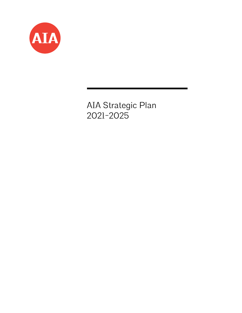

AIA Strategic Plan 2021-2025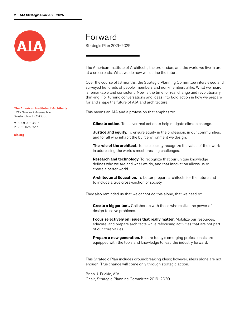

**The American Institute of Architects** 1735 New York Avenue NW

**T** (800) 202 3837 **F** (202) 626 7547

Washington, DC 20006

**aia.org**

## Forward

Strategic Plan 2021–2025

The American Institute of Architects, the profession, and the world we live in are at a crossroads. What we do now will define the future.

Over the course of 18 months, the Strategic Planning Committee interviewed and surveyed hundreds of people, members and non-members alike. What we heard is remarkable and consistent: Now is the time for real change and revolutionary thinking. For turning conversations and ideas into bold action in how we prepare for and shape the future of AIA and architecture.

This means an AIA and a profession that emphasize:

**Climate action.** To deliver real action to help mitigate climate change.

**Justice and equity.** To ensure equity in the profession, in our communities, and for all who inhabit the built environment we design.

**The role of the architect.** To help society recognize the value of their work in addressing the world's most pressing challenges.

**Research and technology.** To recognize that our unique knowledge defines who we are and what we do, and that innovation allows us to create a better world.

**Architectural Education.** To better prepare architects for the future and to include a true cross-section of society.

They also reminded us that we cannot do this alone, that we need to:

**Create a bigger tent.** Collaborate with those who realize the power of design to solve problems.

**Focus selectively on issues that really matter.** Mobilize our resources, educate, and prepare architects while refocusing activities that are not part of our core values.

**Prepare a new generation.** Ensure today's emerging professionals are equipped with the tools and knowledge to lead the industry forward.

This Strategic Plan includes groundbreaking ideas; however, ideas alone are not enough. True change will come only through strategic action.

Brian J. Frickie, AIA Chair, Strategic Planning Committee 2019–2020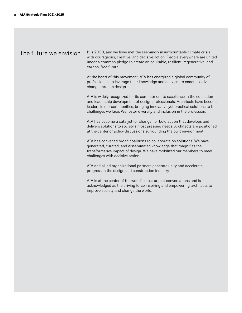## The future we envision

It is 2030, and we have met the seemingly insurmountable climate crisis with courageous, creative, and decisive action. People everywhere are united under a common pledge to create an equitable, resilient, regenerative, and carbon-free future.

At the heart of this movement, AIA has energized a global community of professionals to leverage their knowledge and activism to enact positive change through design.

AIA is widely recognized for its commitment to excellence in the education and leadership development of design professionals. Architects have become leaders in our communities, bringing innovative yet practical solutions to the challenges we face. We foster diversity and inclusion in the profession.

AIA has become a catalyst for change, for bold action that develops and delivers solutions to society's most pressing needs. Architects are positioned at the center of policy discussions surrounding the built environment.

AIA has convened broad coalitions to collaborate on solutions. We have generated, curated, and disseminated knowledge that magnifies the transformative impact of design. We have mobilized our members to meet challenges with decisive action.

AIA and allied organizational partners generate unity and accelerate progress in the design and construction industry.

AIA is at the center of the world's most urgent conversations and is acknowledged as the driving force inspiring and empowering architects to improve society and change the world.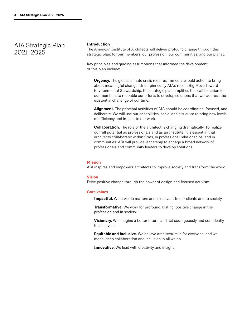AIA Strategic Plan 2021–2025

#### **Introduction**

The American Institute of Architects will deliver profound change through this strategic plan: for our members, our profession, our communities, and our planet.

Key principles and guiding assumptions that informed the development of this plan include:

**Urgency.** The global climate crisis requires immediate, bold action to bring about meaningful change. Underpinned by AIA's recent Big Move Toward Environmental Stewardship, the strategic plan amplifies this call to action for our members to redouble our efforts to develop solutions that will address the existential challenge of our time.

**Alignment.** The principal activities of AIA should be coordinated, focused, and deliberate. We will use our capabilities, scale, and structure to bring new levels of efficiency and impact to our work.

**Collaboration.** The role of the architect is changing dramatically. To realize our full potential as professionals and as an Institute, it is essential that architects collaborate: within firms, in professional relationships, and in communities. AIA will provide leadership to engage a broad network of professionals and community leaders to develop solutions.

#### **Mission**

AIA inspires and empowers architects to improve society and transform the world.

#### **Vision**

Drive positive change through the power of design and focused activism.

#### **Core values**

**Impactful.** What we do matters and is relevant to our clients and to society.

**Transformative.** We work for profound, lasting, positive change in the profession and in society.

**Visionary.** We imagine a better future, and act courageously and confidently to achieve it.

**Equitable and inclusive.** We believe architecture is for everyone, and we model deep collaboration and inclusion in all we do.

**Innovative.** We lead with creativity and insight.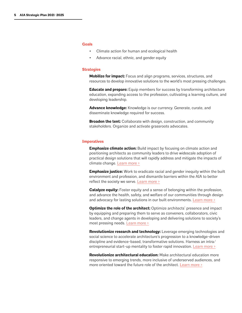#### **Goals**

- Climate action for human and ecological health
- Advance racial, ethnic, and gender equity

#### **Strategies**

**Mobilize for impact:** Focus and align programs, services, structures, and resources to develop innovative solutions to the world's most pressing challenges.

**Educate and prepare:** Equip members for success by transforming architecture education, expanding access to the profession, cultivating a learning culture, and developing leadership.

**Advance knowledge:** Knowledge is our currency. Generate, curate, and disseminate knowledge required for success.

**Broaden the tent:** Collaborate with design, construction, and community stakeholders. Organize and activate grassroots advocates.

#### **Imperatives**

**Emphasize climate action:** Build impact by focusing on climate action and positioning architects as community leaders to drive widescale adoption of practical design solutions that will rapidly address and mitigate the impacts of climate change. [Learn more >](https://www.aia.org/resources/6307290-climate-action-plan)

**Emphasize justice:** Work to eradicate racial and gender inequity within the built environment and profession, and dismantle barriers within the AIA to better reflect the society we serve. [Learn more >](https://www.aia.org/pages/6303978-future-forward )

**Catalyze equity:** Foster equity and a sense of belonging within the profession, and advance the health, safety, and welfare of our communities through design and advocacy for lasting solutions in our built environments. [Learn more >](https://www.aia.org/resources/6246433-guides-for-equitable-practice)

**Optimize the role of the architect:** Optimize architects' presence and impact by equipping and preparing them to serve as conveners, collaborators, civic leaders, and change agents in developing and delivering solutions to society's most pressing needs. [Learn more >](https://www.aia.org/pages/208716-a-guide-to-engaging-with-civic-leaders)

**Revolutionize research and technology:** Leverage emerging technologies and social science to accelerate architecture's progression to a knowledge-driven discipline and evidence-based, transformative solutions. Harness an intra/ entrepreneurial start-up mentality to foster rapid innovation. [Learn more >](https://www.aia.org/pages/5626-architectural-research)

**Revolutionize architectural education:** Make architectural education more responsive to emerging trends, more inclusive of underserved audiences, and more oriented toward the future role of the architect. [Learn more >](https://www.aia.org/resources/6174491-higher-education)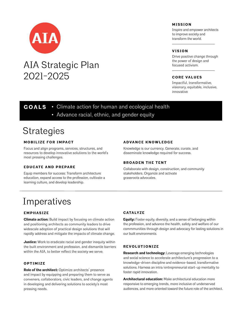

# AIA Strategic Plan 2021-2025

## **MISSION**

Inspire and empower architects to improve society and transform the world.

### **VISION**

Drive positive change through the power of design and focused activism.

### **CORE VALUES**

Impactful, transformative, visionary, equitable, inclusive, innovative

**GOALS** • Climate action for human and ecological health

• Advance racial, ethnic, and gender equity

## **Strategies**

## **MOBILIZE FOR IMPACT**

Focus and align programs, services, structures, and resources to develop innovative solutions to the world's most pressing challenges.

## **EDUCATE AND PREPARE**

Equip members for success: Transform architecture education, expand access to the profession, cultivate a learning culture, and develop leadership.

### **ADVANCE KNOWLEDGE**

Knowledge is our currency. Generate, curate, and disseminate knowledge required for success.

## **BROADEN THE TENT**

Collaborate with design, construction, and community stakeholders. Organize and activate grassroots advocates.

# Imperatives

## **E M P H A S I Z E**

**Climate action:** Build impact by focusing on climate action and positioning architects as community leaders to drive widescale adoption of practical design solutions that will rapidly address and mitigate the impacts of climate change.

**Justice:** Work to eradicate racial and gender inequity within the built environment and profession, and dismantle barriers within the AIA, to better reflect the society we serve.

## **O P T I M I Z E**

**Role of the architect:** Optimize architects' presence and impact by equipping and preparing them to serve as conveners, collaborators, civic leaders, and change agents in developing and delivering solutions to society's most pressing needs.

### **C ATA LY Z E**

**Equity:** Foster equity, diversity, and a sense of belonging within the profession, and advance the health, safety and welfare of our commmunities through design and advocacy for lasting solutions in our built environments.

#### **R E V O L U T I O N I Z E**

**Research and technology:** Leverage emerging technologies and social science to accelerate architecture's progression to a knowledge-driven discipline and evidence-based, transformative solutions. Harness an intra/entrepreneurial start-up mentality to foster rapid innovation.

**Architectural education:** Make architectural education more responsive to emerging trends, more inclusive of underserved audiences, and more oriented toward the future role of the architect.